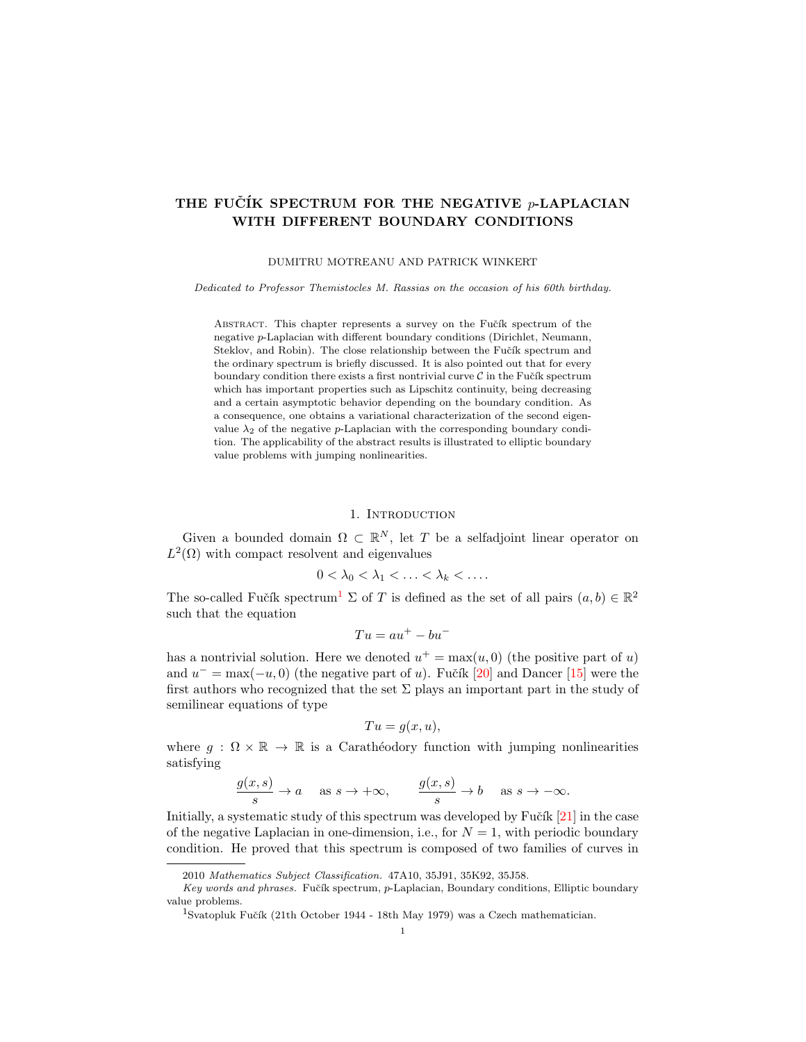# THE FUČÍK SPECTRUM FOR THE NEGATIVE  $p$ -LAPLACIAN WITH DIFFERENT BOUNDARY CONDITIONS

### DUMITRU MOTREANU AND PATRICK WINKERT

Dedicated to Professor Themistocles M. Rassias on the occasion of his 60th birthday.

ABSTRACT. This chapter represents a survey on the Fučík spectrum of the negative p-Laplacian with different boundary conditions (Dirichlet, Neumann, Steklov, and Robin). The close relationship between the Fučík spectrum and the ordinary spectrum is briefly discussed. It is also pointed out that for every boundary condition there exists a first nontrivial curve  $\mathcal C$  in the Fučík spectrum which has important properties such as Lipschitz continuity, being decreasing and a certain asymptotic behavior depending on the boundary condition. As a consequence, one obtains a variational characterization of the second eigenvalue  $\lambda_2$  of the negative p-Laplacian with the corresponding boundary condition. The applicability of the abstract results is illustrated to elliptic boundary value problems with jumping nonlinearities.

## 1. INTRODUCTION

Given a bounded domain  $\Omega \subset \mathbb{R}^N$ , let T be a selfadjoint linear operator on  $L^2(\Omega)$  with compact resolvent and eigenvalues

$$
0<\lambda_0<\lambda_1<\ldots<\lambda_k<\ldots.
$$

The so-called Fučík spectrum<sup>[1](#page-0-0)</sup>  $\Sigma$  of T is defined as the set of all pairs  $(a, b) \in \mathbb{R}^2$ such that the equation

$$
Tu = au^+ - bu^-
$$

has a nontrivial solution. Here we denoted  $u^+ = \max(u, 0)$  (the positive part of u) and  $u^- = \max(-u, 0)$  (the negative part of u). Fučík [\[20\]](#page-11-0) and Dancer [\[15\]](#page-11-1) were the first authors who recognized that the set  $\Sigma$  plays an important part in the study of semilinear equations of type

$$
Tu = g(x, u),
$$

where  $g : \Omega \times \mathbb{R} \to \mathbb{R}$  is a Carathéodory function with jumping nonlinearities satisfying

$$
\frac{g(x,s)}{s} \to a \quad \text{as } s \to +\infty, \qquad \frac{g(x,s)}{s} \to b \quad \text{as } s \to -\infty.
$$

Initially, a systematic study of this spectrum was developed by Fučík  $[21]$  in the case of the negative Laplacian in one-dimension, i.e., for  $N = 1$ , with periodic boundary condition. He proved that this spectrum is composed of two families of curves in

<sup>2010</sup> Mathematics Subject Classification. 47A10, 35J91, 35K92, 35J58.

Key words and phrases. Fučík spectrum, p-Laplacian, Boundary conditions, Elliptic boundary value problems.

<span id="page-0-0"></span> $^1$ Svatopluk Fučík (21th October 1944 - 18th May 1979) was a Czech mathematician.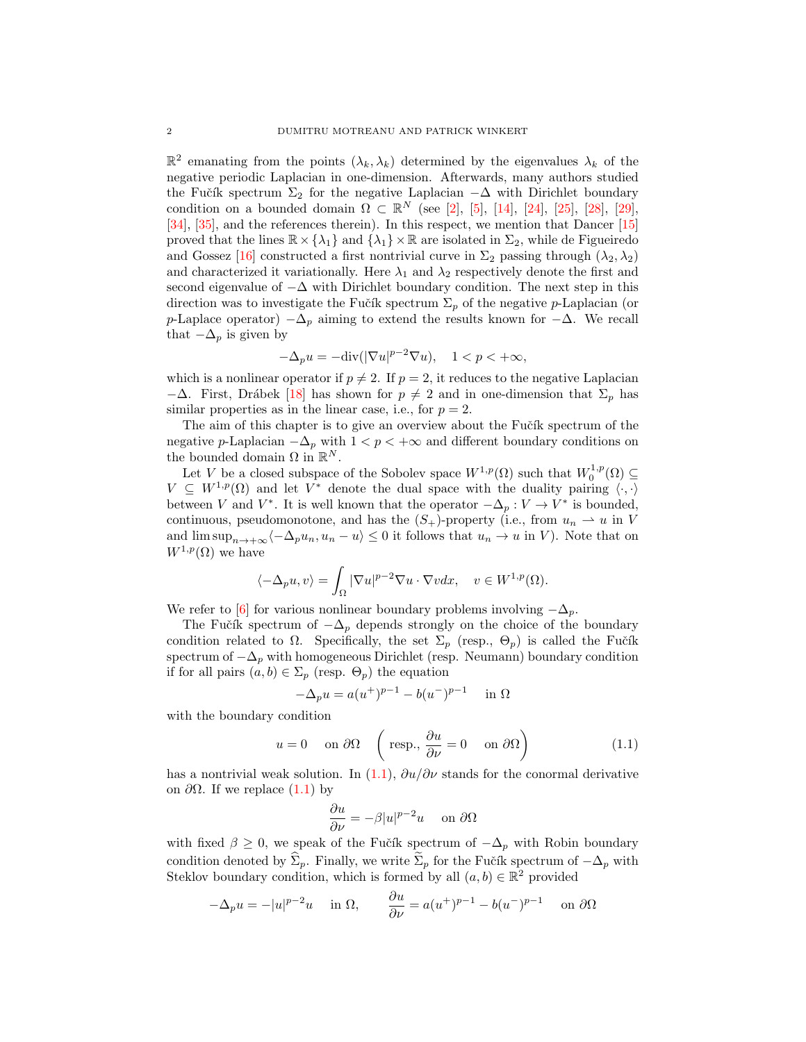$\mathbb{R}^2$  emanating from the points  $(\lambda_k, \lambda_k)$  determined by the eigenvalues  $\lambda_k$  of the negative periodic Laplacian in one-dimension. Afterwards, many authors studied the Fučík spectrum  $\Sigma_2$  for the negative Laplacian  $-\Delta$  with Dirichlet boundary condition on a bounded domain  $\Omega \subset \mathbb{R}^N$  (see [\[2\]](#page-11-3), [\[5\]](#page-11-4), [\[14\]](#page-11-5), [\[24\]](#page-11-6), [\[25\]](#page-11-7), [\[28\]](#page-12-0), [\[29\]](#page-12-1), [\[34\]](#page-12-2), [\[35\]](#page-12-3), and the references therein). In this respect, we mention that Dancer [\[15\]](#page-11-1) proved that the lines  $\mathbb{R} \times \{\lambda_1\}$  and  $\{\lambda_1\} \times \mathbb{R}$  are isolated in  $\Sigma_2$ , while de Figueiredo and Gossez [\[16\]](#page-11-8) constructed a first nontrivial curve in  $\Sigma_2$  passing through  $(\lambda_2, \lambda_2)$ and characterized it variationally. Here  $\lambda_1$  and  $\lambda_2$  respectively denote the first and second eigenvalue of  $-\Delta$  with Dirichlet boundary condition. The next step in this direction was to investigate the Fučík spectrum  $\Sigma_p$  of the negative *p*-Laplacian (or p-Laplace operator)  $-\Delta_p$  aiming to extend the results known for  $-\Delta$ . We recall that  $-\Delta_p$  is given by

$$
-\Delta_p u = -\text{div}(|\nabla u|^{p-2} \nabla u), \quad 1 < p < +\infty,
$$

which is a nonlinear operator if  $p \neq 2$ . If  $p = 2$ , it reduces to the negative Laplacian  $-\Delta$ . First, Drábek [\[18\]](#page-11-9) has shown for  $p \neq 2$  and in one-dimension that  $\Sigma_p$  has similar properties as in the linear case, i.e., for  $p = 2$ .

The aim of this chapter is to give an overview about the Fučík spectrum of the negative p-Laplacian  $-\Delta_p$  with  $1 < p < +\infty$  and different boundary conditions on the bounded domain  $\Omega$  in  $\mathbb{R}^N$ .

Let V be a closed subspace of the Sobolev space  $W^{1,p}(\Omega)$  such that  $W^{1,p}_0(\Omega) \subseteq$  $V \subseteq W^{1,p}(\Omega)$  and let  $V^*$  denote the dual space with the duality pairing  $\langle \cdot, \cdot \rangle$ between V and V<sup>\*</sup>. It is well known that the operator  $-\Delta_p: V \to V^*$  is bounded, continuous, pseudomonotone, and has the  $(S_+)$ -property (i.e., from  $u_n \rightharpoonup u$  in V and  $\limsup_{n\to+\infty}\langle-\Delta_pu_n, u_n-u\rangle\leq 0$  it follows that  $u_n\to u$  in V). Note that on  $W^{1,p}(\Omega)$  we have

$$
\langle -\Delta_p u, v \rangle = \int_{\Omega} |\nabla u|^{p-2} \nabla u \cdot \nabla v dx, \quad v \in W^{1,p}(\Omega).
$$

We refer to [\[6\]](#page-11-10) for various nonlinear boundary problems involving  $-\Delta_p$ .

The Fučík spectrum of  $-\Delta_p$  depends strongly on the choice of the boundary condition related to  $\Omega$ . Specifically, the set  $\Sigma_p$  (resp.,  $\Theta_p$ ) is called the Fučík spectrum of  $-\Delta_p$  with homogeneous Dirichlet (resp. Neumann) boundary condition if for all pairs  $(a, b) \in \Sigma_p$  (resp.  $\Theta_p$ ) the equation

$$
-\Delta_p u = a(u^+)^{p-1} - b(u^-)^{p-1} \quad \text{in } \Omega
$$

with the boundary condition

$$
u = 0
$$
 on  $\partial\Omega$   $\left(\text{resp., }\frac{\partial u}{\partial \nu} = 0 \text{ on } \partial\Omega\right)$  (1.1)

has a nontrivial weak solution. In [\(1.1\)](#page-1-0),  $\partial u/\partial \nu$  stands for the conormal derivative on  $\partial$ Ω. If we replace [\(1.1\)](#page-1-0) by

<span id="page-1-0"></span>
$$
\frac{\partial u}{\partial \nu} = -\beta |u|^{p-2} u \quad \text{ on } \partial \Omega
$$

with fixed  $\beta \geq 0$ , we speak of the Fučík spectrum of  $-\Delta_p$  with Robin boundary condition denoted by  $\hat{\Sigma}_p$ . Finally, we write  $\tilde{\Sigma}_p$  for the Fučík spectrum of  $-\Delta_p$  with Steklov boundary condition, which is formed by all  $(a, b) \in \mathbb{R}^2$  provided

$$
-\Delta_p u = -|u|^{p-2}u \quad \text{ in } \Omega, \qquad \frac{\partial u}{\partial \nu} = a(u^+)^{p-1} - b(u^-)^{p-1} \quad \text{ on } \partial \Omega
$$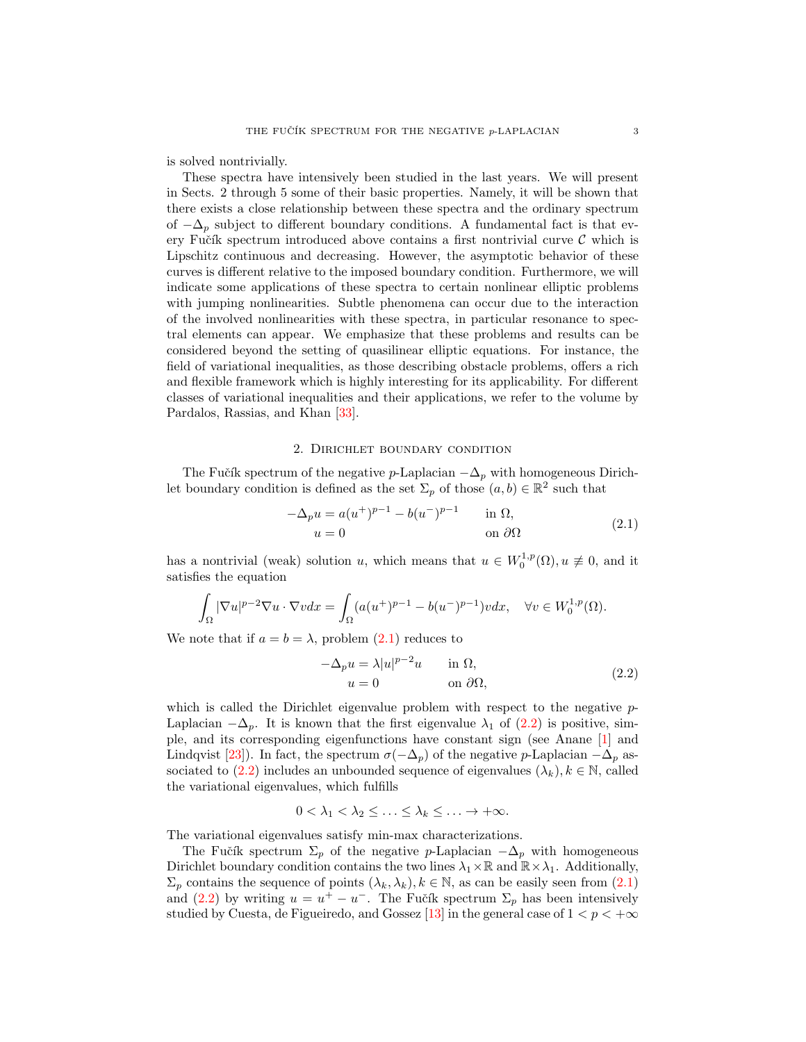is solved nontrivially.

These spectra have intensively been studied in the last years. We will present in Sects. 2 through 5 some of their basic properties. Namely, it will be shown that there exists a close relationship between these spectra and the ordinary spectrum of  $-\Delta_p$  subject to different boundary conditions. A fundamental fact is that every Fučík spectrum introduced above contains a first nontrivial curve  $\mathcal C$  which is Lipschitz continuous and decreasing. However, the asymptotic behavior of these curves is different relative to the imposed boundary condition. Furthermore, we will indicate some applications of these spectra to certain nonlinear elliptic problems with jumping nonlinearities. Subtle phenomena can occur due to the interaction of the involved nonlinearities with these spectra, in particular resonance to spectral elements can appear. We emphasize that these problems and results can be considered beyond the setting of quasilinear elliptic equations. For instance, the field of variational inequalities, as those describing obstacle problems, offers a rich and flexible framework which is highly interesting for its applicability. For different classes of variational inequalities and their applications, we refer to the volume by Pardalos, Rassias, and Khan [\[33\]](#page-12-4).

## 2. Dirichlet boundary condition

<span id="page-2-2"></span>The Fučík spectrum of the negative p-Laplacian  $-\Delta_p$  with homogeneous Dirichlet boundary condition is defined as the set  $\Sigma_p$  of those  $(a, b) \in \mathbb{R}^2$  such that

<span id="page-2-0"></span>
$$
-\Delta_p u = a(u^+)^{p-1} - b(u^-)^{p-1} \quad \text{in } \Omega,
$$
  
\n
$$
u = 0 \quad \text{on } \partial\Omega
$$
\n(2.1)

has a nontrivial (weak) solution u, which means that  $u \in W_0^{1,p}(\Omega)$ ,  $u \not\equiv 0$ , and it satisfies the equation

$$
\int_{\Omega}|\nabla u|^{p-2}\nabla u\cdot\nabla vdx=\int_{\Omega}(a(u^+)^{p-1}-b(u^-)^{p-1})vdx,\quad\forall v\in W^{1,p}_0(\Omega).
$$

We note that if  $a = b = \lambda$ , problem  $(2.1)$  reduces to

<span id="page-2-1"></span>
$$
-\Delta_p u = \lambda |u|^{p-2}u \quad \text{in } \Omega,
$$
  
 
$$
u = 0 \quad \text{on } \partial\Omega,
$$
 (2.2)

which is called the Dirichlet eigenvalue problem with respect to the negative  $p$ -Laplacian  $-\Delta_p$ . It is known that the first eigenvalue  $\lambda_1$  of [\(2.2\)](#page-2-1) is positive, simple, and its corresponding eigenfunctions have constant sign (see Anane [\[1\]](#page-11-11) and Lindqvist [\[23\]](#page-11-12)). In fact, the spectrum  $\sigma(-\Delta_p)$  of the negative p-Laplacian  $-\Delta_p$  as-sociated to [\(2.2\)](#page-2-1) includes an unbounded sequence of eigenvalues  $(\lambda_k)$ ,  $k \in \mathbb{N}$ , called the variational eigenvalues, which fulfills

$$
0 < \lambda_1 < \lambda_2 \leq \ldots \leq \lambda_k \leq \ldots \to +\infty.
$$

The variational eigenvalues satisfy min-max characterizations.

The Fučík spectrum  $\Sigma_p$  of the negative p-Laplacian  $-\Delta_p$  with homogeneous Dirichlet boundary condition contains the two lines  $\lambda_1 \times \mathbb{R}$  and  $\mathbb{R} \times \lambda_1$ . Additionally,  $\Sigma_p$  contains the sequence of points  $(\lambda_k, \lambda_k)$ ,  $k \in \mathbb{N}$ , as can be easily seen from  $(2.1)$ and [\(2.2\)](#page-2-1) by writing  $u = u^+ - u^-$ . The Fučík spectrum  $\Sigma_p$  has been intensively studied by Cuesta, de Figueiredo, and Gossez [\[13\]](#page-11-13) in the general case of  $1 < p < +\infty$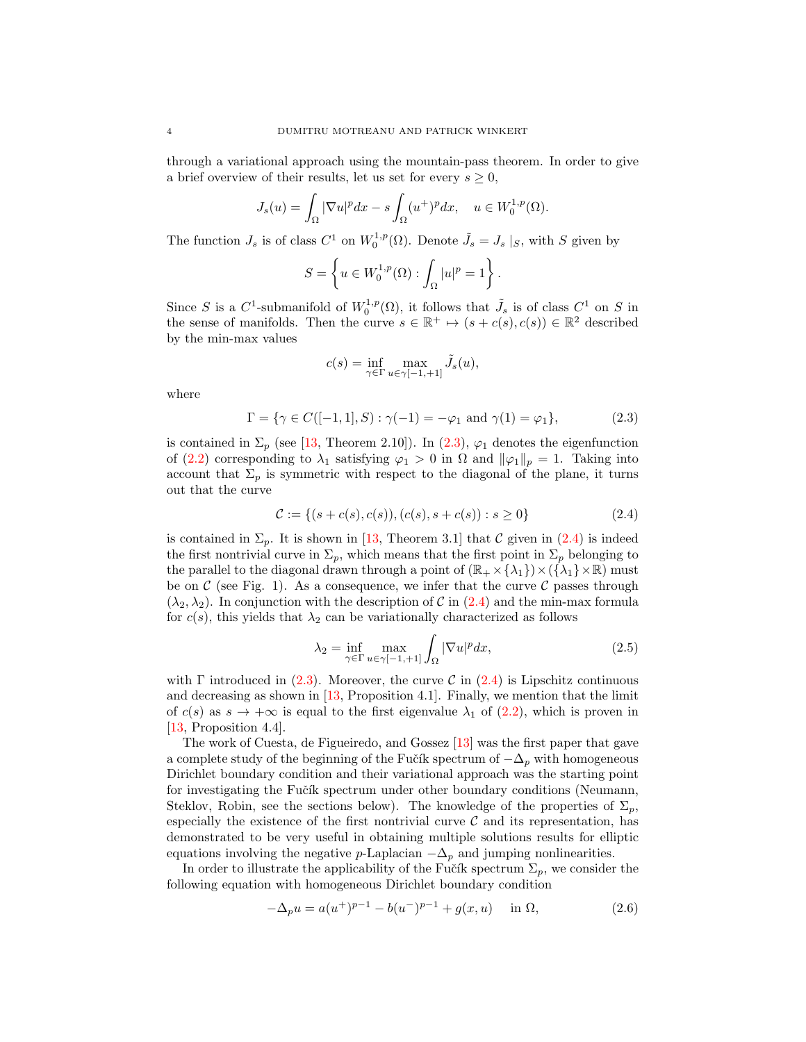through a variational approach using the mountain-pass theorem. In order to give a brief overview of their results, let us set for every  $s \geq 0$ ,

$$
J_s(u) = \int_{\Omega} |\nabla u|^p dx - s \int_{\Omega} (u^+)^p dx, \quad u \in W_0^{1,p}(\Omega).
$$

The function  $J_s$  is of class  $C^1$  on  $W_0^{1,p}(\Omega)$ . Denote  $\tilde{J}_s = J_s |_{S}$ , with S given by

$$
S = \left\{ u \in W_0^{1,p}(\Omega) : \int_{\Omega} |u|^p = 1 \right\}.
$$

Since S is a  $C^1$ -submanifold of  $W_0^{1,p}(\Omega)$ , it follows that  $\tilde{J}_s$  is of class  $C^1$  on S in the sense of manifolds. Then the curve  $s \in \mathbb{R}^+ \mapsto (s + c(s), c(s)) \in \mathbb{R}^2$  described by the min-max values

<span id="page-3-1"></span><span id="page-3-0"></span>
$$
c(s) = \inf_{\gamma \in \Gamma} \max_{u \in \gamma[-1, +1]} \tilde{J}_s(u),
$$

where

$$
\Gamma = \{ \gamma \in C([-1, 1], S) : \gamma(-1) = -\varphi_1 \text{ and } \gamma(1) = \varphi_1 \},\tag{2.3}
$$

is contained in  $\Sigma_p$  (see [\[13,](#page-11-13) Theorem 2.10]). In [\(2.3\)](#page-3-0),  $\varphi_1$  denotes the eigenfunction of [\(2.2\)](#page-2-1) corresponding to  $\lambda_1$  satisfying  $\varphi_1 > 0$  in  $\Omega$  and  $\|\varphi_1\|_p = 1$ . Taking into account that  $\Sigma_p$  is symmetric with respect to the diagonal of the plane, it turns out that the curve

$$
\mathcal{C} := \{ (s + c(s), c(s)), (c(s), s + c(s)) : s \ge 0 \}
$$
\n
$$
(2.4)
$$

is contained in  $\Sigma_p$ . It is shown in [\[13,](#page-11-13) Theorem 3.1] that C given in [\(2.4\)](#page-3-1) is indeed the first nontrivial curve in  $\Sigma_p$ , which means that the first point in  $\Sigma_p$  belonging to the parallel to the diagonal drawn through a point of  $(\mathbb{R}_+ \times {\lambda_1}) \times ({\lambda_1} \times \mathbb{R})$  must be on  $\mathcal C$  (see Fig. 1). As a consequence, we infer that the curve  $\mathcal C$  passes through  $(\lambda_2, \lambda_2)$ . In conjunction with the description of C in [\(2.4\)](#page-3-1) and the min-max formula for  $c(s)$ , this yields that  $\lambda_2$  can be variationally characterized as follows

<span id="page-3-3"></span>
$$
\lambda_2 = \inf_{\gamma \in \Gamma} \max_{u \in \gamma[-1, +1]} \int_{\Omega} |\nabla u|^p dx, \tag{2.5}
$$

with Γ introduced in [\(2.3\)](#page-3-0). Moreover, the curve C in [\(2.4\)](#page-3-1) is Lipschitz continuous and decreasing as shown in [\[13,](#page-11-13) Proposition 4.1]. Finally, we mention that the limit of  $c(s)$  as  $s \to +\infty$  is equal to the first eigenvalue  $\lambda_1$  of [\(2.2\)](#page-2-1), which is proven in [\[13,](#page-11-13) Proposition 4.4].

The work of Cuesta, de Figueiredo, and Gossez [\[13\]](#page-11-13) was the first paper that gave a complete study of the beginning of the Fučík spectrum of  $-\Delta_p$  with homogeneous Dirichlet boundary condition and their variational approach was the starting point for investigating the Fučík spectrum under other boundary conditions (Neumann, Steklov, Robin, see the sections below). The knowledge of the properties of  $\Sigma_p$ , especially the existence of the first nontrivial curve  $\mathcal C$  and its representation, has demonstrated to be very useful in obtaining multiple solutions results for elliptic equations involving the negative p-Laplacian  $-\Delta_p$  and jumping nonlinearities.

In order to illustrate the applicability of the Fučík spectrum  $\Sigma_p$ , we consider the following equation with homogeneous Dirichlet boundary condition

<span id="page-3-2"></span>
$$
-\Delta_p u = a(u^+)^{p-1} - b(u^-)^{p-1} + g(x, u) \quad \text{in } \Omega,
$$
\n(2.6)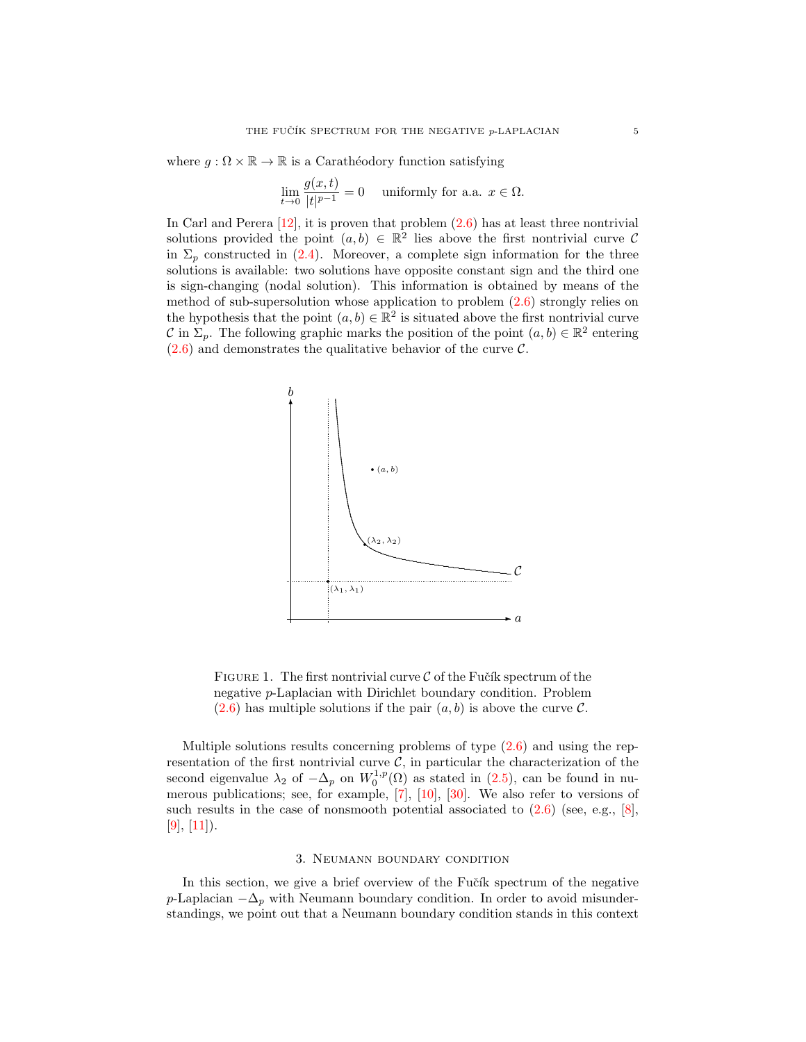where  $q : \Omega \times \mathbb{R} \to \mathbb{R}$  is a Carathéodory function satisfying

$$
\lim_{t \to 0} \frac{g(x,t)}{|t|^{p-1}} = 0 \quad \text{ uniformly for a.a. } x \in \Omega.
$$

In Carl and Perera  $[12]$ , it is proven that problem  $(2.6)$  has at least three nontrivial solutions provided the point  $(a, b) \in \mathbb{R}^2$  lies above the first nontrivial curve C in  $\Sigma_p$  constructed in [\(2.4\)](#page-3-1). Moreover, a complete sign information for the three solutions is available: two solutions have opposite constant sign and the third one is sign-changing (nodal solution). This information is obtained by means of the method of sub-supersolution whose application to problem [\(2.6\)](#page-3-2) strongly relies on the hypothesis that the point  $(a, b) \in \mathbb{R}^2$  is situated above the first nontrivial curve C in  $\Sigma_p$ . The following graphic marks the position of the point  $(a, b) \in \mathbb{R}^2$  entering  $(2.6)$  and demonstrates the qualitative behavior of the curve C.



FIGURE 1. The first nontrivial curve  $\mathcal C$  of the Fučík spectrum of the negative p-Laplacian with Dirichlet boundary condition. Problem  $(2.6)$  has multiple solutions if the pair  $(a, b)$  is above the curve C.

Multiple solutions results concerning problems of type  $(2.6)$  and using the representation of the first nontrivial curve  $C$ , in particular the characterization of the second eigenvalue  $\lambda_2$  of  $-\Delta_p$  on  $W_0^{1,p}(\Omega)$  as stated in [\(2.5\)](#page-3-3), can be found in numerous publications; see, for example, [\[7\]](#page-11-15), [\[10\]](#page-11-16), [\[30\]](#page-12-5). We also refer to versions of such results in the case of nonsmooth potential associated to  $(2.6)$  (see, e.g., [\[8\]](#page-11-17),  $[9], [11]$  $[9], [11]$  $[9], [11]$ .

## 3. Neumann boundary condition

<span id="page-4-0"></span>In this section, we give a brief overview of the Fučík spectrum of the negative p-Laplacian  $-\Delta_p$  with Neumann boundary condition. In order to avoid misunderstandings, we point out that a Neumann boundary condition stands in this context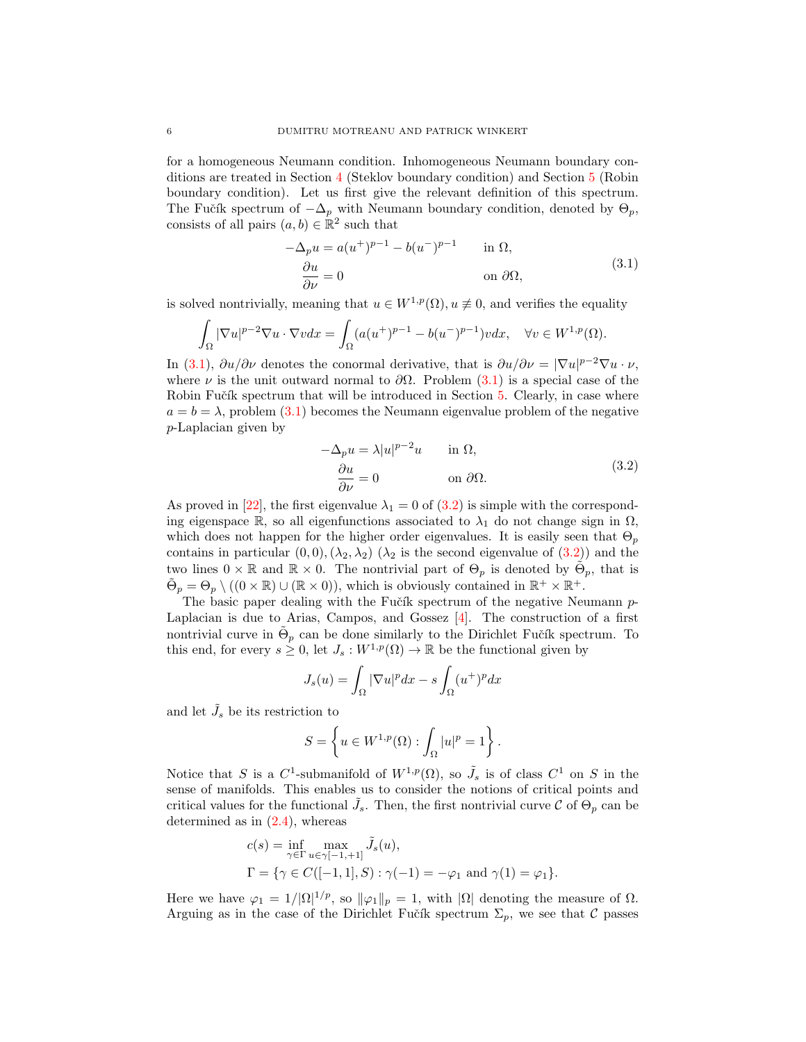for a homogeneous Neumann condition. Inhomogeneous Neumann boundary conditions are treated in Section [4](#page-6-0) (Steklov boundary condition) and Section [5](#page-9-0) (Robin boundary condition). Let us first give the relevant definition of this spectrum. The Fučík spectrum of  $-\Delta_p$  with Neumann boundary condition, denoted by  $\Theta_p$ , consists of all pairs  $(a, b) \in \mathbb{R}^2$  such that

<span id="page-5-0"></span>
$$
-\Delta_p u = a(u^+)^{p-1} - b(u^-)^{p-1} \quad \text{in } \Omega,
$$
  
\n
$$
\frac{\partial u}{\partial \nu} = 0 \quad \text{on } \partial \Omega,
$$
\n(3.1)

is solved nontrivially, meaning that  $u \in W^{1,p}(\Omega)$ ,  $u \not\equiv 0$ , and verifies the equality

$$
\int_{\Omega} |\nabla u|^{p-2} \nabla u \cdot \nabla v dx = \int_{\Omega} (a(u^+)^{p-1} - b(u^-)^{p-1}) v dx, \quad \forall v \in W^{1,p}(\Omega).
$$

In [\(3.1\)](#page-5-0),  $\partial u/\partial \nu$  denotes the conormal derivative, that is  $\partial u/\partial \nu = |\nabla u|^{p-2} \nabla u \cdot \nu$ , where  $\nu$  is the unit outward normal to  $\partial\Omega$ . Problem [\(3.1\)](#page-5-0) is a special case of the Robin Fučík spectrum that will be introduced in Section [5.](#page-9-0) Clearly, in case where  $a = b = \lambda$ , problem [\(3.1\)](#page-5-0) becomes the Neumann eigenvalue problem of the negative p-Laplacian given by

<span id="page-5-1"></span>
$$
-\Delta_p u = \lambda |u|^{p-2}u \quad \text{in } \Omega,
$$
  
\n
$$
\frac{\partial u}{\partial \nu} = 0 \quad \text{on } \partial \Omega.
$$
\n(3.2)

As proved in [\[22\]](#page-11-20), the first eigenvalue  $\lambda_1 = 0$  of [\(3.2\)](#page-5-1) is simple with the corresponding eigenspace R, so all eigenfunctions associated to  $\lambda_1$  do not change sign in  $\Omega$ , which does not happen for the higher order eigenvalues. It is easily seen that  $\Theta_p$ contains in particular  $(0, 0), (\lambda_2, \lambda_2)$  ( $\lambda_2$  is the second eigenvalue of  $(3.2)$ ) and the two lines  $0 \times \mathbb{R}$  and  $\mathbb{R} \times 0$ . The nontrivial part of  $\Theta_p$  is denoted by  $\tilde{\Theta}_p$ , that is  $\tilde{\Theta}_p = \Theta_p \setminus ((0 \times \mathbb{R}) \cup (\mathbb{R} \times 0)),$  which is obviously contained in  $\mathbb{R}^+ \times \mathbb{R}^+.$ 

The basic paper dealing with the Fučík spectrum of the negative Neumann  $p$ -Laplacian is due to Arias, Campos, and Gossez [\[4\]](#page-11-21). The construction of a first nontrivial curve in  $\tilde{\Theta}_p$  can be done similarly to the Dirichlet Fučík spectrum. To this end, for every  $s \geq 0$ , let  $J_s : W^{1,p}(\Omega) \to \mathbb{R}$  be the functional given by

$$
J_s(u) = \int_{\Omega} |\nabla u|^p dx - s \int_{\Omega} (u^+)^p dx
$$

and let  $\tilde{J}_s$  be its restriction to

$$
S=\left\{u\in W^{1,p}(\Omega): \int_{\Omega}|u|^{p}=1\right\}.
$$

Notice that S is a  $C^1$ -submanifold of  $W^{1,p}(\Omega)$ , so  $\tilde{J}_s$  is of class  $C^1$  on S in the sense of manifolds. This enables us to consider the notions of critical points and critical values for the functional  $\tilde{J}_s$ . Then, the first nontrivial curve C of  $\Theta_p$  can be determined as in  $(2.4)$ , whereas

$$
c(s) = \inf_{\gamma \in \Gamma} \max_{u \in \gamma[-1, +1]} \tilde{J}_s(u),
$$
  

$$
\Gamma = \{ \gamma \in C([-1, 1], S) : \gamma(-1) = -\varphi_1 \text{ and } \gamma(1) = \varphi_1 \}.
$$

Here we have  $\varphi_1 = 1/|\Omega|^{1/p}$ , so  $\|\varphi_1\|_p = 1$ , with  $|\Omega|$  denoting the measure of  $\Omega$ . Arguing as in the case of the Dirichlet Fučík spectrum  $\Sigma_p$ , we see that C passes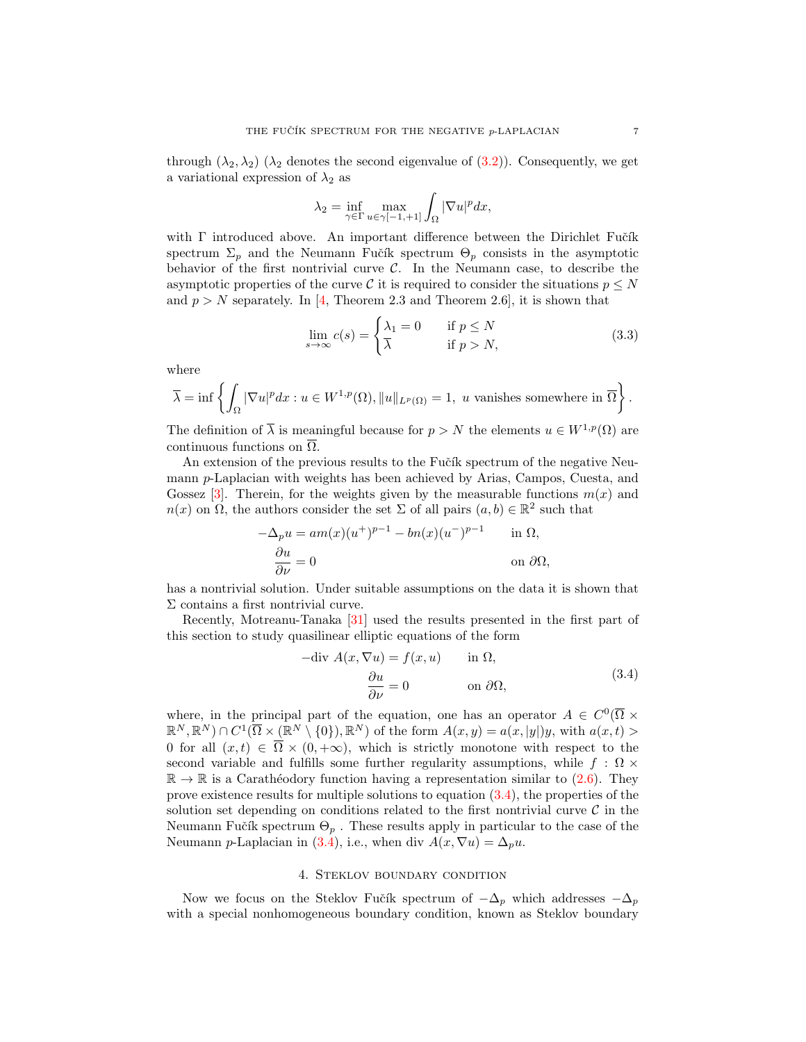through  $(\lambda_2, \lambda_2)$  ( $\lambda_2$  denotes the second eigenvalue of [\(3.2\)](#page-5-1)). Consequently, we get a variational expression of  $\lambda_2$  as

$$
\lambda_2 = \inf_{\gamma \in \Gamma} \max_{u \in \gamma[-1, +1]} \int_{\Omega} |\nabla u|^p dx,
$$

with  $\Gamma$  introduced above. An important difference between the Dirichlet Fučík spectrum  $\Sigma_p$  and the Neumann Fučík spectrum  $\Theta_p$  consists in the asymptotic behavior of the first nontrivial curve  $C$ . In the Neumann case, to describe the asymptotic properties of the curve C it is required to consider the situations  $p \leq N$ and  $p > N$  separately. In [\[4,](#page-11-21) Theorem 2.3 and Theorem 2.6], it is shown that

<span id="page-6-2"></span>
$$
\lim_{s \to \infty} c(s) = \begin{cases} \lambda_1 = 0 & \text{if } p \le N \\ \overline{\lambda} & \text{if } p > N, \end{cases}
$$
 (3.3)

where

$$
\overline{\lambda} = \inf \left\{ \int_{\Omega} |\nabla u|^p dx : u \in W^{1,p}(\Omega), ||u||_{L^p(\Omega)} = 1, \ u \text{ vanishes somewhere in } \overline{\Omega} \right\}.
$$

The definition of  $\overline{\lambda}$  is meaningful because for  $p > N$  the elements  $u \in W^{1,p}(\Omega)$  are continuous functions on  $\overline{\Omega}$ .

An extension of the previous results to the Fučík spectrum of the negative Neumann p-Laplacian with weights has been achieved by Arias, Campos, Cuesta, and Gossez [\[3\]](#page-11-22). Therein, for the weights given by the measurable functions  $m(x)$  and  $n(x)$  on  $\Omega$ , the authors consider the set  $\Sigma$  of all pairs  $(a, b) \in \mathbb{R}^2$  such that

$$
-\Delta_p u = am(x)(u^+)^{p-1} - bn(x)(u^-)^{p-1} \quad \text{in } \Omega,
$$
  

$$
\frac{\partial u}{\partial \nu} = 0 \quad \text{on } \partial \Omega,
$$

has a nontrivial solution. Under suitable assumptions on the data it is shown that Σ contains a first nontrivial curve.

Recently, Motreanu-Tanaka [\[31\]](#page-12-6) used the results presented in the first part of this section to study quasilinear elliptic equations of the form

<span id="page-6-1"></span>
$$
- \operatorname{div} A(x, \nabla u) = f(x, u) \quad \text{in } \Omega,
$$

$$
\frac{\partial u}{\partial \nu} = 0 \quad \text{on } \partial \Omega,
$$
 (3.4)

where, in the principal part of the equation, one has an operator  $A \in C^{0}(\overline{\Omega} \times$  $\mathbb{R}^N, \mathbb{R}^N \cap C^1(\overline{\Omega} \times (\mathbb{R}^N \setminus \{0\}), \mathbb{R}^N)$  of the form  $A(x, y) = a(x, |y|)y$ , with  $a(x, t) >$ 0 for all  $(x, t) \in \overline{\Omega} \times (0, +\infty)$ , which is strictly monotone with respect to the second variable and fulfills some further regularity assumptions, while f :  $\Omega \times$  $\mathbb{R} \to \mathbb{R}$  is a Carathéodory function having a representation similar to [\(2.6\)](#page-3-2). They prove existence results for multiple solutions to equation  $(3.4)$ , the properties of the solution set depending on conditions related to the first nontrivial curve  $\mathcal C$  in the Neumann Fučík spectrum  $\Theta_p$ . These results apply in particular to the case of the Neumann p-Laplacian in [\(3.4\)](#page-6-1), i.e., when div  $A(x, \nabla u) = \Delta_p u$ .

#### 4. Steklov boundary condition

<span id="page-6-0"></span>Now we focus on the Steklov Fučík spectrum of  $-\Delta_p$  which addresses  $-\Delta_p$ with a special nonhomogeneous boundary condition, known as Steklov boundary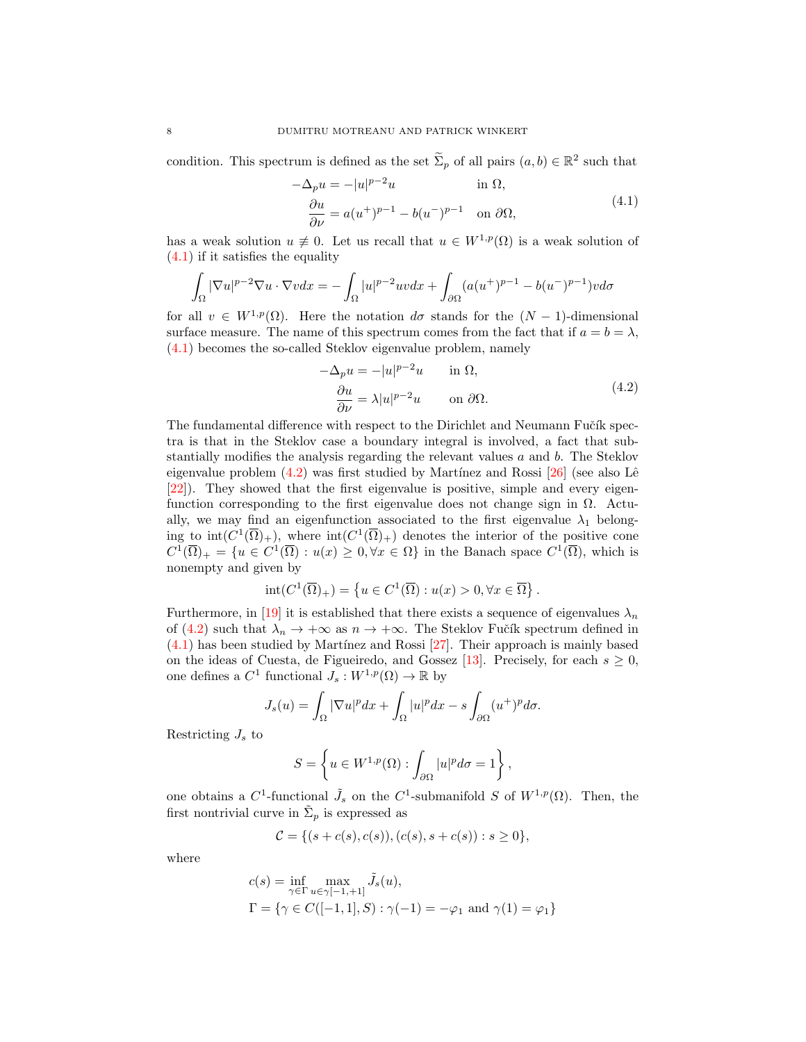condition. This spectrum is defined as the set  $\widetilde{\Sigma}_p$  of all pairs  $(a, b) \in \mathbb{R}^2$  such that

<span id="page-7-0"></span>
$$
-\Delta_p u = -|u|^{p-2}u \qquad \text{in } \Omega,
$$
  
\n
$$
\frac{\partial u}{\partial \nu} = a(u^+)^{p-1} - b(u^-)^{p-1} \quad \text{on } \partial\Omega,
$$
\n(4.1)

has a weak solution  $u \neq 0$ . Let us recall that  $u \in W^{1,p}(\Omega)$  is a weak solution of [\(4.1\)](#page-7-0) if it satisfies the equality

$$
\int_{\Omega} |\nabla u|^{p-2} \nabla u \cdot \nabla v dx = -\int_{\Omega} |u|^{p-2} uv dx + \int_{\partial \Omega} (a(u^+)^{p-1} - b(u^-)^{p-1}) v d\sigma
$$

for all  $v \in W^{1,p}(\Omega)$ . Here the notation  $d\sigma$  stands for the  $(N-1)$ -dimensional surface measure. The name of this spectrum comes from the fact that if  $a = b = \lambda$ , [\(4.1\)](#page-7-0) becomes the so-called Steklov eigenvalue problem, namely

<span id="page-7-1"></span>
$$
-\Delta_p u = -|u|^{p-2}u \quad \text{in } \Omega,
$$
  
\n
$$
\frac{\partial u}{\partial \nu} = \lambda |u|^{p-2}u \quad \text{on } \partial \Omega.
$$
\n(4.2)

The fundamental difference with respect to the Dirichlet and Neumann Fučík spectra is that in the Steklov case a boundary integral is involved, a fact that substantially modifies the analysis regarding the relevant values a and b. The Steklov eigenvalue problem  $(4.2)$  was first studied by Martínez and Rossi  $[26]$  (see also Lê [\[22\]](#page-11-20)). They showed that the first eigenvalue is positive, simple and every eigenfunction corresponding to the first eigenvalue does not change sign in  $\Omega$ . Actually, we may find an eigenfunction associated to the first eigenvalue  $\lambda_1$  belonging to  $\text{int}(C^1(\overline{\Omega})_+)$ , where  $\text{int}(C^1(\overline{\Omega})_+)$  denotes the interior of the positive cone  $C^1(\overline{\Omega})_+ = \{u \in C^1(\overline{\Omega}) : u(x) \geq 0, \forall x \in \Omega\}$  in the Banach space  $C^1(\overline{\Omega})$ , which is nonempty and given by

$$
int(C^1(\overline{\Omega})_+) = \left\{ u \in C^1(\overline{\Omega}) : u(x) > 0, \forall x \in \overline{\Omega} \right\}.
$$

Furthermore, in [\[19\]](#page-11-24) it is established that there exists a sequence of eigenvalues  $\lambda_n$ of [\(4.2\)](#page-7-1) such that  $\lambda_n \to +\infty$  as  $n \to +\infty$ . The Steklov Fučík spectrum defined in  $(4.1)$  has been studied by Martínez and Rossi  $[27]$ . Their approach is mainly based on the ideas of Cuesta, de Figueiredo, and Gossez [\[13\]](#page-11-13). Precisely, for each  $s \geq 0$ , one defines a  $C^1$  functional  $J_s: W^{1,p}(\Omega) \to \mathbb{R}$  by

$$
J_s(u) = \int_{\Omega} |\nabla u|^p dx + \int_{\Omega} |u|^p dx - s \int_{\partial \Omega} (u^+)^p d\sigma.
$$

Restricting  $J_s$  to

$$
S = \left\{ u \in W^{1,p}(\Omega) : \int_{\partial \Omega} |u|^p d\sigma = 1 \right\},\,
$$

one obtains a  $C^1$ -functional  $\tilde{J}_s$  on the  $C^1$ -submanifold S of  $W^{1,p}(\Omega)$ . Then, the first nontrivial curve in  $\tilde{\Sigma}_p$  is expressed as

$$
C = \{ (s + c(s), c(s)), (c(s), s + c(s)) : s \ge 0 \},\
$$

where

$$
c(s) = \inf_{\gamma \in \Gamma} \max_{u \in \gamma[-1, +1]} \tilde{J}_s(u),
$$
  

$$
\Gamma = \{ \gamma \in C([-1, 1], S) : \gamma(-1) = -\varphi_1 \text{ and } \gamma(1) = \varphi_1 \}
$$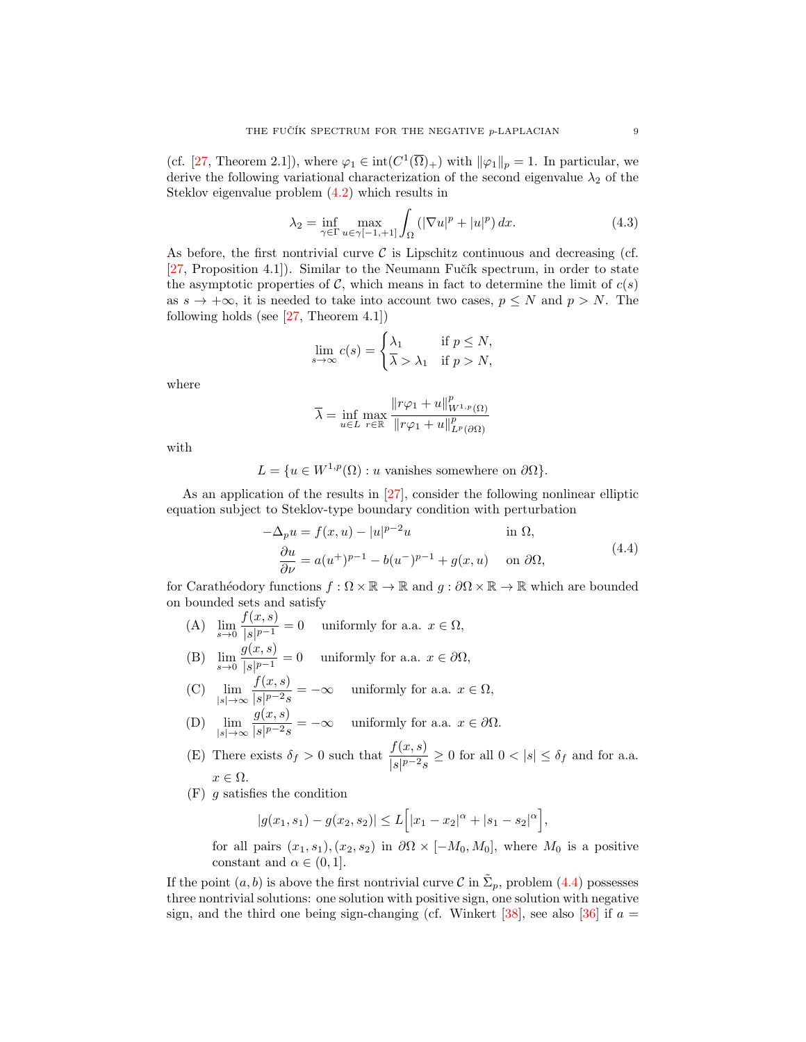(cf. [\[27,](#page-11-25) Theorem 2.1]), where  $\varphi_1 \in \text{int}(C^1(\overline{\Omega})_+)$  with  $\|\varphi_1\|_p = 1$ . In particular, we derive the following variational characterization of the second eigenvalue  $\lambda_2$  of the Steklov eigenvalue problem [\(4.2\)](#page-7-1) which results in

<span id="page-8-1"></span>
$$
\lambda_2 = \inf_{\gamma \in \Gamma} \max_{u \in \gamma[-1, +1]} \int_{\Omega} \left( |\nabla u|^p + |u|^p \right) dx. \tag{4.3}
$$

As before, the first nontrivial curve  $\mathcal C$  is Lipschitz continuous and decreasing (cf. [\[27,](#page-11-25) Proposition 4.1]). Similar to the Neumann Fučík spectrum, in order to state the asymptotic properties of C, which means in fact to determine the limit of  $c(s)$ as  $s \to +\infty$ , it is needed to take into account two cases,  $p \leq N$  and  $p > N$ . The following holds (see  $[27,$  Theorem 4.1])

$$
\lim_{s \to \infty} c(s) = \begin{cases} \lambda_1 & \text{if } p \le N, \\ \overline{\lambda} > \lambda_1 & \text{if } p > N, \end{cases}
$$

where

<span id="page-8-0"></span>
$$
\overline{\lambda} = \inf_{u \in L} \max_{r \in \mathbb{R}} \frac{\|r\varphi_1 + u\|_{W^{1,p}(\Omega)}^p}{\|r\varphi_1 + u\|_{L^p(\partial\Omega)}^p}
$$

with

$$
L = \{ u \in W^{1,p}(\Omega) : u \text{ vanishes somewhere on } \partial \Omega \}.
$$

As an application of the results in [\[27\]](#page-11-25), consider the following nonlinear elliptic equation subject to Steklov-type boundary condition with perturbation

$$
-\Delta_p u = f(x, u) - |u|^{p-2}u \qquad \text{in } \Omega,
$$
  
\n
$$
\frac{\partial u}{\partial \nu} = a(u^+)^{p-1} - b(u^-)^{p-1} + g(x, u) \qquad \text{on } \partial\Omega,
$$
\n(4.4)

for Carathéodory functions  $f : \Omega \times \mathbb{R} \to \mathbb{R}$  and  $g : \partial \Omega \times \mathbb{R} \to \mathbb{R}$  which are bounded on bounded sets and satisfy

- (A)  $\lim_{s \to 0} \frac{f(x, s)}{|s|^{p-1}}$  $\frac{\partial f(x, b)}{\partial s|^{p-1}} = 0$  uniformly for a.a.  $x \in \Omega$ ,
- (B)  $\lim_{s \to 0} \frac{g(x, s)}{|s|^{p-1}}$  $\frac{g(x, y)}{|s|^{p-1}} = 0$  uniformly for a.a.  $x \in \partial \Omega$ ,
- $(C)$   $\lim_{|s|\to\infty}$  $f(x, s)$  $\frac{\partial f(x, y)}{\partial s|p-2s} = -\infty$  uniformly for a.a.  $x \in \Omega$ ,  $g(x, s)$
- $(D)$   $\lim_{|s|\to\infty}$  $\frac{g(x, b)}{|s|^{p-2}s} = -\infty$  uniformly for a.a.  $x \in \partial \Omega$ .
- (E) There exists  $\delta_f > 0$  such that  $\frac{f(x, s)}{|s|^{p-2} s} \ge 0$  for all  $0 < |s| \le \delta_f$  and for a.a.  $x \in \Omega$ .
- $(F)$  g satisfies the condition

$$
|g(x_1, s_1) - g(x_2, s_2)| \le L\Big[|x_1 - x_2|^{\alpha} + |s_1 - s_2|^{\alpha}\Big],
$$

for all pairs  $(x_1, s_1), (x_2, s_2)$  in  $\partial\Omega \times [-M_0, M_0]$ , where  $M_0$  is a positive constant and  $\alpha \in (0,1]$ .

If the point  $(a, b)$  is above the first nontrivial curve C in  $\tilde{\Sigma}_p$ , problem [\(4.4\)](#page-8-0) possesses three nontrivial solutions: one solution with positive sign, one solution with negative sign, and the third one being sign-changing (cf. Winkert [\[38\]](#page-12-7), see also [\[36\]](#page-12-8) if  $a =$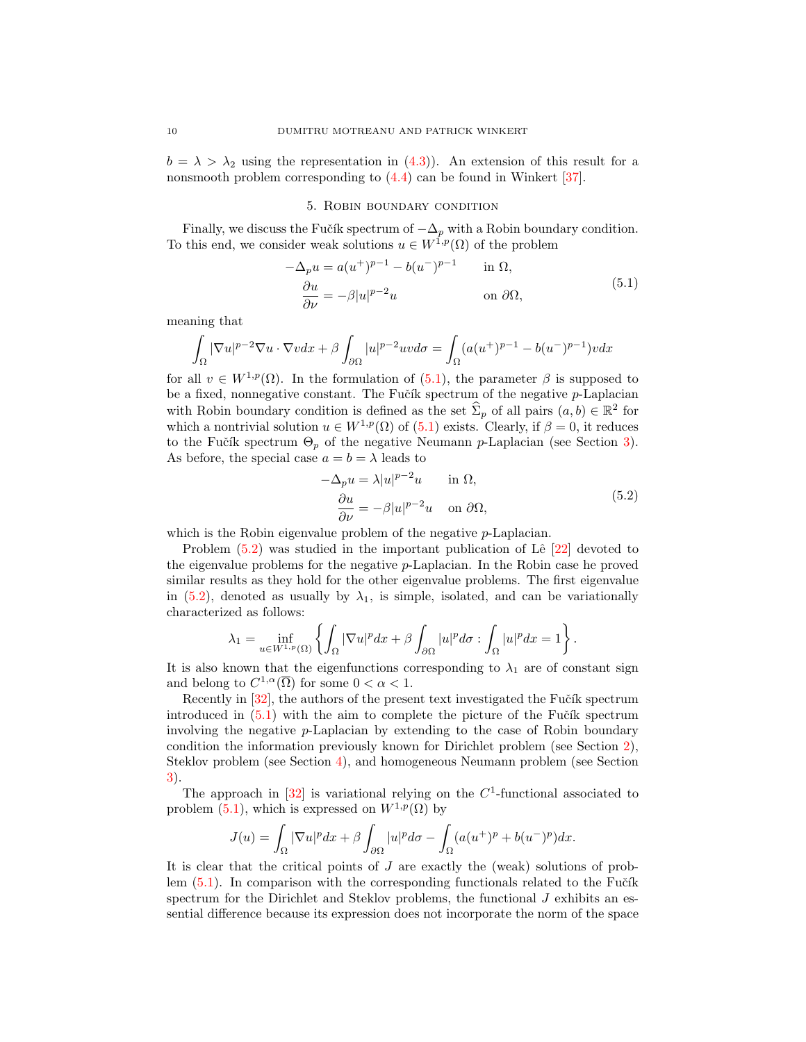$b = \lambda > \lambda_2$  using the representation in [\(4.3\)](#page-8-1)). An extension of this result for a nonsmooth problem corresponding to  $(4.4)$  can be found in Winkert [\[37\]](#page-12-9).

### <span id="page-9-1"></span>5. Robin boundary condition

<span id="page-9-0"></span>Finally, we discuss the Fučík spectrum of  $-\Delta_p$  with a Robin boundary condition. To this end, we consider weak solutions  $u \in W^{1,p}(\Omega)$  of the problem

$$
-\Delta_p u = a(u^+)^{p-1} - b(u^-)^{p-1} \quad \text{in } \Omega,
$$
  
\n
$$
\frac{\partial u}{\partial \nu} = -\beta |u|^{p-2} u \quad \text{on } \partial \Omega,
$$
\n(5.1)

meaning that

$$
\int_{\Omega} |\nabla u|^{p-2} \nabla u \cdot \nabla v dx + \beta \int_{\partial \Omega} |u|^{p-2} uv d\sigma = \int_{\Omega} (a(u^+)^{p-1} - b(u^-)^{p-1}) v dx
$$

for all  $v \in W^{1,p}(\Omega)$ . In the formulation of [\(5.1\)](#page-9-1), the parameter  $\beta$  is supposed to be a fixed, nonnegative constant. The Fučík spectrum of the negative  $p$ -Laplacian with Robin boundary condition is defined as the set  $\hat{\Sigma}_p$  of all pairs  $(a, b) \in \mathbb{R}^2$  for which a nontrivial solution  $u \in W^{1,p}(\Omega)$  of  $(5.1)$  exists. Clearly, if  $\beta = 0$ , it reduces to the Fučík spectrum  $\Theta_p$  of the negative Neumann p-Laplacian (see Section [3\)](#page-4-0). As before, the special case  $a = b = \lambda$  leads to

<span id="page-9-2"></span>
$$
-\Delta_p u = \lambda |u|^{p-2}u \quad \text{in } \Omega,
$$
  
\n
$$
\frac{\partial u}{\partial \nu} = -\beta |u|^{p-2}u \quad \text{on } \partial \Omega,
$$
\n(5.2)

which is the Robin eigenvalue problem of the negative  $p$ -Laplacian.

Problem  $(5.2)$  was studied in the important publication of Lê  $[22]$  devoted to the eigenvalue problems for the negative p-Laplacian. In the Robin case he proved similar results as they hold for the other eigenvalue problems. The first eigenvalue in [\(5.2\)](#page-9-2), denoted as usually by  $\lambda_1$ , is simple, isolated, and can be variationally characterized as follows:

$$
\lambda_1 = \inf_{u \in W^{1,p}(\Omega)} \left\{ \int_{\Omega} |\nabla u|^p dx + \beta \int_{\partial \Omega} |u|^p d\sigma : \int_{\Omega} |u|^p dx = 1 \right\}.
$$

It is also known that the eigenfunctions corresponding to  $\lambda_1$  are of constant sign and belong to  $C^{1,\alpha}(\overline{\Omega})$  for some  $0 < \alpha < 1$ .

Recently in  $[32]$ , the authors of the present text investigated the Fučík spectrum introduced in  $(5.1)$  with the aim to complete the picture of the Fučík spectrum involving the negative p-Laplacian by extending to the case of Robin boundary condition the information previously known for Dirichlet problem (see Section [2\)](#page-2-2), Steklov problem (see Section [4\)](#page-6-0), and homogeneous Neumann problem (see Section [3\)](#page-4-0).

The approach in  $[32]$  is variational relying on the  $C<sup>1</sup>$ -functional associated to problem [\(5.1\)](#page-9-1), which is expressed on  $W^{1,p}(\Omega)$  by

$$
J(u) = \int_{\Omega} |\nabla u|^p dx + \beta \int_{\partial \Omega} |u|^p d\sigma - \int_{\Omega} (a(u^+)^p + b(u^-)^p) dx.
$$

It is clear that the critical points of  $J$  are exactly the (weak) solutions of problem  $(5.1)$ . In comparison with the corresponding functionals related to the Fučík spectrum for the Dirichlet and Steklov problems, the functional  $J$  exhibits an essential difference because its expression does not incorporate the norm of the space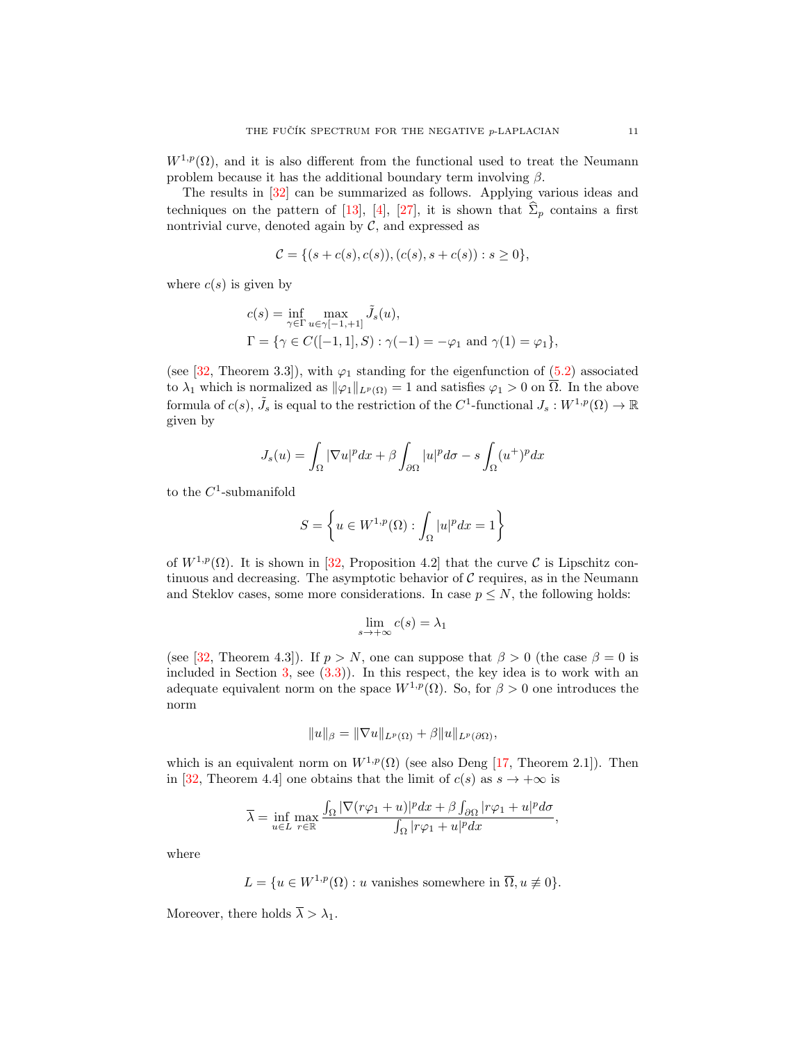$W^{1,p}(\Omega)$ , and it is also different from the functional used to treat the Neumann problem because it has the additional boundary term involving  $\beta$ .

The results in [\[32\]](#page-12-10) can be summarized as follows. Applying various ideas and techniques on the pattern of [\[13\]](#page-11-13), [\[4\]](#page-11-21), [\[27\]](#page-11-25), it is shown that  $\hat{\Sigma}_p$  contains a first nontrivial curve, denoted again by  $C$ , and expressed as

$$
\mathcal{C} = \{ (s + c(s), c(s)), (c(s), s + c(s)) : s \ge 0 \},\
$$

where  $c(s)$  is given by

$$
c(s) = \inf_{\gamma \in \Gamma} \max_{u \in \gamma[-1, +1]} \tilde{J}_s(u),
$$
  

$$
\Gamma = \{ \gamma \in C([-1, 1], S) : \gamma(-1) = -\varphi_1 \text{ and } \gamma(1) = \varphi_1 \},
$$

(see [\[32,](#page-12-10) Theorem 3.3]), with  $\varphi_1$  standing for the eigenfunction of [\(5.2\)](#page-9-2) associated to  $\lambda_1$  which is normalized as  $\|\varphi_1\|_{L^p(\Omega)} = 1$  and satisfies  $\varphi_1 > 0$  on  $\overline{\Omega}$ . In the above formula of  $c(s)$ ,  $\tilde{J}_s$  is equal to the restriction of the  $C^1$ -functional  $J_s: W^{1,p}(\Omega) \to \mathbb{R}$ given by

$$
J_s(u) = \int_{\Omega} |\nabla u|^p dx + \beta \int_{\partial \Omega} |u|^p d\sigma - s \int_{\Omega} (u^+)^p dx
$$

to the  $C^1$ -submanifold

$$
S = \left\{ u \in W^{1,p}(\Omega) : \int_{\Omega} |u|^p dx = 1 \right\}
$$

of  $W^{1,p}(\Omega)$ . It is shown in [\[32,](#page-12-10) Proposition 4.2] that the curve C is Lipschitz continuous and decreasing. The asymptotic behavior of  $C$  requires, as in the Neumann and Steklov cases, some more considerations. In case  $p \leq N$ , the following holds:

$$
\lim_{s \to +\infty} c(s) = \lambda_1
$$

(see [\[32,](#page-12-10) Theorem 4.3]). If  $p > N$ , one can suppose that  $\beta > 0$  (the case  $\beta = 0$  is included in Section  $3$ , see  $(3.3)$ ). In this respect, the key idea is to work with an adequate equivalent norm on the space  $W^{1,p}(\Omega)$ . So, for  $\beta > 0$  one introduces the norm

$$
||u||_{\beta} = ||\nabla u||_{L^p(\Omega)} + \beta ||u||_{L^p(\partial\Omega)},
$$

which is an equivalent norm on  $W^{1,p}(\Omega)$  (see also Deng [\[17,](#page-11-26) Theorem 2.1]). Then in [\[32,](#page-12-10) Theorem 4.4] one obtains that the limit of  $c(s)$  as  $s \to +\infty$  is

$$
\overline{\lambda} = \inf_{u \in L} \max_{r \in \mathbb{R}} \frac{\int_{\Omega} |\nabla(r\varphi_1 + u)|^p dx + \beta \int_{\partial \Omega} |r\varphi_1 + u|^p d\sigma}{\int_{\Omega} |r\varphi_1 + u|^p dx},
$$

where

$$
L = \{ u \in W^{1,p}(\Omega) : u \text{ vanishes somewhere in } \overline{\Omega}, u \neq 0 \}.
$$

Moreover, there holds  $\overline{\lambda} > \lambda_1$ .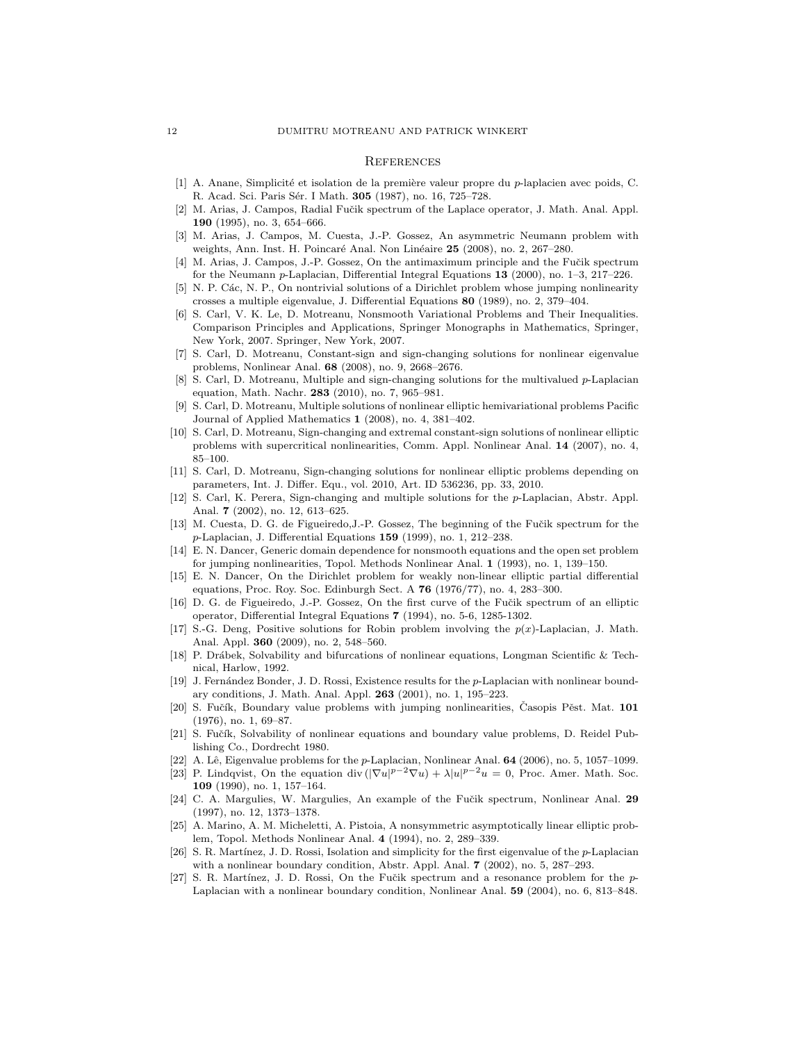#### **REFERENCES**

- <span id="page-11-11"></span>[1] A. Anane, Simplicité et isolation de la première valeur propre du p-laplacien avec poids, C. R. Acad. Sci. Paris Sér. I Math. 305 (1987), no. 16, 725–728.
- <span id="page-11-3"></span>[2] M. Arias, J. Campos, Radial Fučik spectrum of the Laplace operator, J. Math. Anal. Appl. 190 (1995), no. 3, 654–666.
- <span id="page-11-22"></span>[3] M. Arias, J. Campos, M. Cuesta, J.-P. Gossez, An asymmetric Neumann problem with weights, Ann. Inst. H. Poincaré Anal. Non Linéaire 25 (2008), no. 2, 267–280.
- <span id="page-11-21"></span>[4] M. Arias, J. Campos, J.-P. Gossez, On the antimaximum principle and the Fučik spectrum for the Neumann p-Laplacian, Differential Integral Equations 13 (2000), no. 1–3, 217–226.
- <span id="page-11-4"></span>[5] N. P. Các, N. P., On nontrivial solutions of a Dirichlet problem whose jumping nonlinearity crosses a multiple eigenvalue, J. Differential Equations 80 (1989), no. 2, 379–404.
- <span id="page-11-10"></span>[6] S. Carl, V. K. Le, D. Motreanu, Nonsmooth Variational Problems and Their Inequalities. Comparison Principles and Applications, Springer Monographs in Mathematics, Springer, New York, 2007. Springer, New York, 2007.
- <span id="page-11-15"></span>[7] S. Carl, D. Motreanu, Constant-sign and sign-changing solutions for nonlinear eigenvalue problems, Nonlinear Anal. 68 (2008), no. 9, 2668–2676.
- <span id="page-11-17"></span>[8] S. Carl, D. Motreanu, Multiple and sign-changing solutions for the multivalued p-Laplacian equation, Math. Nachr. 283 (2010), no. 7, 965–981.
- <span id="page-11-18"></span>[9] S. Carl, D. Motreanu, Multiple solutions of nonlinear elliptic hemivariational problems Pacific Journal of Applied Mathematics 1 (2008), no. 4, 381–402.
- <span id="page-11-16"></span>[10] S. Carl, D. Motreanu, Sign-changing and extremal constant-sign solutions of nonlinear elliptic problems with supercritical nonlinearities, Comm. Appl. Nonlinear Anal. 14 (2007), no. 4, 85–100.
- <span id="page-11-19"></span>[11] S. Carl, D. Motreanu, Sign-changing solutions for nonlinear elliptic problems depending on parameters, Int. J. Differ. Equ., vol. 2010, Art. ID 536236, pp. 33, 2010.
- <span id="page-11-14"></span>[12] S. Carl, K. Perera, Sign-changing and multiple solutions for the p-Laplacian, Abstr. Appl. Anal. 7 (2002), no. 12, 613–625.
- <span id="page-11-13"></span>[13] M. Cuesta, D. G. de Figueiredo, J.-P. Gossez, The beginning of the Fučik spectrum for the p-Laplacian, J. Differential Equations 159 (1999), no. 1, 212–238.
- <span id="page-11-5"></span>[14] E. N. Dancer, Generic domain dependence for nonsmooth equations and the open set problem for jumping nonlinearities, Topol. Methods Nonlinear Anal. 1 (1993), no. 1, 139–150.
- <span id="page-11-1"></span>[15] E. N. Dancer, On the Dirichlet problem for weakly non-linear elliptic partial differential equations, Proc. Roy. Soc. Edinburgh Sect. A **76** (1976/77), no. 4, 283-300.
- <span id="page-11-8"></span>[16] D. G. de Figueiredo, J.-P. Gossez, On the first curve of the Fučik spectrum of an elliptic operator, Differential Integral Equations 7 (1994), no. 5-6, 1285-1302.
- <span id="page-11-26"></span>[17] S.-G. Deng, Positive solutions for Robin problem involving the  $p(x)$ -Laplacian, J. Math. Anal. Appl. 360 (2009), no. 2, 548–560.
- <span id="page-11-9"></span>[18] P. Drábek, Solvability and bifurcations of nonlinear equations, Longman Scientific & Technical, Harlow, 1992.
- <span id="page-11-24"></span>[19] J. Fernández Bonder, J. D. Rossi, Existence results for the p-Laplacian with nonlinear boundary conditions, J. Math. Anal. Appl. 263 (2001), no. 1, 195–223.
- <span id="page-11-0"></span>[20] S. Fučík, Boundary value problems with jumping nonlinearities, Časopis Pěst. Mat. 101 (1976), no. 1, 69–87.
- <span id="page-11-2"></span>[21] S. Fučík, Solvability of nonlinear equations and boundary value problems, D. Reidel Publishing Co., Dordrecht 1980.
- <span id="page-11-20"></span>[22] A. Lê, Eigenvalue problems for the  $p$ -Laplacian, Nonlinear Anal. **64** (2006), no. 5, 1057–1099.
- <span id="page-11-12"></span>[23] P. Lindqvist, On the equation div  $(|\nabla u|^{p-2}\nabla u) + \lambda |u|^{p-2}u = 0$ , Proc. Amer. Math. Soc. 109 (1990), no. 1, 157–164.
- <span id="page-11-6"></span>[24] C. A. Margulies, W. Margulies, An example of the Fučik spectrum, Nonlinear Anal. 29 (1997), no. 12, 1373–1378.
- <span id="page-11-7"></span>[25] A. Marino, A. M. Micheletti, A. Pistoia, A nonsymmetric asymptotically linear elliptic problem, Topol. Methods Nonlinear Anal. 4 (1994), no. 2, 289–339.
- <span id="page-11-23"></span>[26] S. R. Martínez, J. D. Rossi, Isolation and simplicity for the first eigenvalue of the  $p$ -Laplacian with a nonlinear boundary condition, Abstr. Appl. Anal. **7** (2002), no. 5, 287–293.
- <span id="page-11-25"></span>[27] S. R. Martínez, J. D. Rossi, On the Fučik spectrum and a resonance problem for the  $p-$ Laplacian with a nonlinear boundary condition, Nonlinear Anal. 59 (2004), no. 6, 813–848.